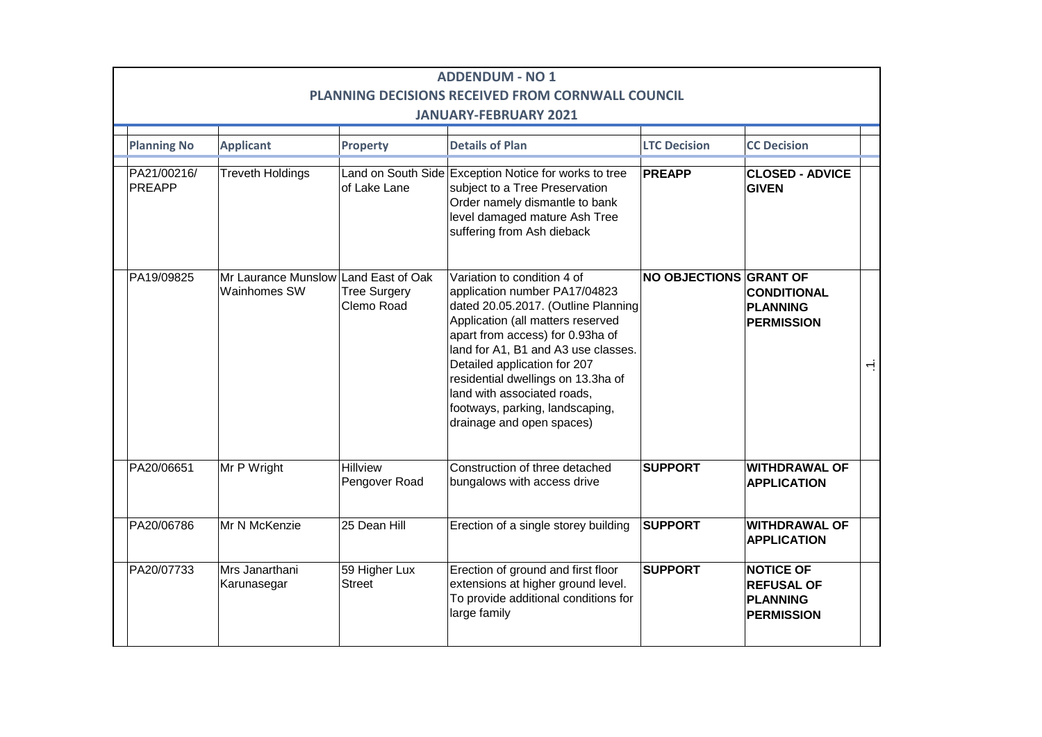| <b>ADDENDUM - NO 1</b><br>PLANNING DECISIONS RECEIVED FROM CORNWALL COUNCIL<br><b>JANUARY-FEBRUARY 2021</b> |                                                      |                                   |                                                                                                                                                                                                                                                                                                                                                                                          |                        |                                                                               |                |  |  |  |  |
|-------------------------------------------------------------------------------------------------------------|------------------------------------------------------|-----------------------------------|------------------------------------------------------------------------------------------------------------------------------------------------------------------------------------------------------------------------------------------------------------------------------------------------------------------------------------------------------------------------------------------|------------------------|-------------------------------------------------------------------------------|----------------|--|--|--|--|
| <b>Planning No</b>                                                                                          | <b>Applicant</b>                                     | Property                          | <b>Details of Plan</b>                                                                                                                                                                                                                                                                                                                                                                   | <b>LTC Decision</b>    | <b>CC Decision</b>                                                            |                |  |  |  |  |
| PA21/00216/<br>PREAPP                                                                                       | <b>Treveth Holdings</b>                              | of Lake Lane                      | Land on South Side Exception Notice for works to tree<br>subject to a Tree Preservation<br>Order namely dismantle to bank<br>level damaged mature Ash Tree<br>suffering from Ash dieback                                                                                                                                                                                                 | <b>PREAPP</b>          | <b>CLOSED - ADVICE</b><br><b>GIVEN</b>                                        |                |  |  |  |  |
| PA19/09825                                                                                                  | Mr Laurance Munslow Land East of Oak<br>Wainhomes SW | <b>Tree Surgery</b><br>Clemo Road | Variation to condition 4 of<br>application number PA17/04823<br>dated 20.05.2017. (Outline Planning<br>Application (all matters reserved<br>apart from access) for 0.93ha of<br>land for A1, B1 and A3 use classes.<br>Detailed application for 207<br>residential dwellings on 13.3ha of<br>land with associated roads,<br>footways, parking, landscaping,<br>drainage and open spaces) | NO OBJECTIONS GRANT OF | <b>CONDITIONAL</b><br><b>PLANNING</b><br><b>PERMISSION</b>                    | $\overline{ }$ |  |  |  |  |
| PA20/06651                                                                                                  | Mr P Wright                                          | Hillview<br>Pengover Road         | Construction of three detached<br>bungalows with access drive                                                                                                                                                                                                                                                                                                                            | <b>SUPPORT</b>         | <b>WITHDRAWAL OF</b><br><b>APPLICATION</b>                                    |                |  |  |  |  |
| PA20/06786                                                                                                  | Mr N McKenzie                                        | 25 Dean Hill                      | Erection of a single storey building                                                                                                                                                                                                                                                                                                                                                     | <b>SUPPORT</b>         | <b>WITHDRAWAL OF</b><br><b>APPLICATION</b>                                    |                |  |  |  |  |
| PA20/07733                                                                                                  | Mrs Janarthani<br>Karunasegar                        | 59 Higher Lux<br><b>Street</b>    | Erection of ground and first floor<br>extensions at higher ground level.<br>To provide additional conditions for<br>large family                                                                                                                                                                                                                                                         | <b>SUPPORT</b>         | <b>NOTICE OF</b><br><b>REFUSAL OF</b><br><b>PLANNING</b><br><b>PERMISSION</b> |                |  |  |  |  |